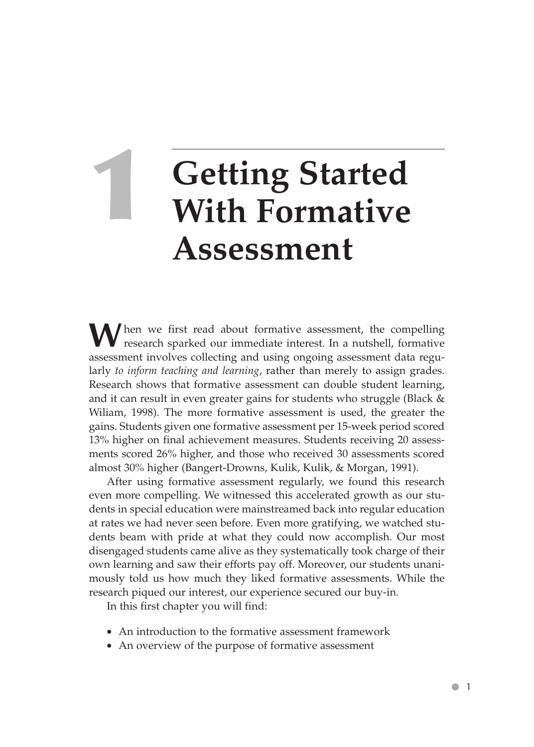# **Getting Started With Formative Assessment**

When we first read about formative assessment, the compelling research sparked our immediate interest. In a nutshell, formative assessment involves collecting and using ongoing assessment data regularly *to inform teaching and learning*, rather than merely to assign grades. Research shows that formative assessment can double student learning, and it can result in even greater gains for students who struggle (Black & Wiliam, 1998). The more formative assessment is used, the greater the gains. Students given one formative assessment per 15-week period scored 13% higher on final achievement measures. Students receiving 20 assessments scored 26% higher, and those who received 30 assessments scored almost 30% higher (Bangert-Drowns, Kulik, Kulik, & Morgan, 1991).

After using formative assessment regularly, we found this research even more compelling. We witnessed this accelerated growth as our students in special education were mainstreamed back into regular education at rates we had never seen before. Even more gratifying, we watched students beam with pride at what they could now accomplish. Our most disengaged students came alive as they systematically took charge of their own learning and saw their efforts pay off. Moreover, our students unanimously told us how much they liked formative assessments. While the research piqued our interest, our experience secured our buy-in.

In this first chapter you will find:

- An introduction to the formative assessment framework
- An overview of the purpose of formative assessment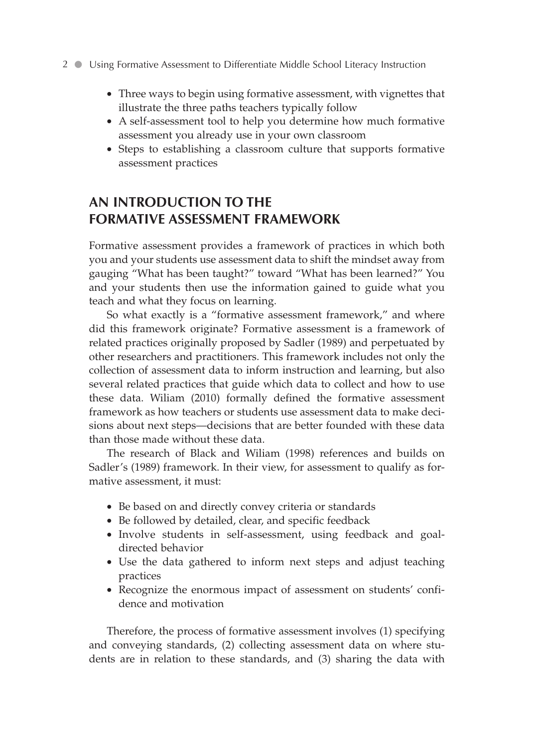- Three ways to begin using formative assessment, with vignettes that illustrate the three paths teachers typically follow
- A self-assessment tool to help you determine how much formative assessment you already use in your own classroom
- Steps to establishing a classroom culture that supports formative assessment practices

### **AN INTRODUCTION TO THE FORMATIVE ASSESSMENT FRAMEWORK**

Formative assessment provides a framework of practices in which both you and your students use assessment data to shift the mindset away from gauging "What has been taught?" toward "What has been learned?" You and your students then use the information gained to guide what you teach and what they focus on learning.

So what exactly is a "formative assessment framework," and where did this framework originate? Formative assessment is a framework of related practices originally proposed by Sadler (1989) and perpetuated by other researchers and practitioners. This framework includes not only the collection of assessment data to inform instruction and learning, but also several related practices that guide which data to collect and how to use these data. Wiliam (2010) formally defined the formative assessment framework as how teachers or students use assessment data to make decisions about next steps—decisions that are better founded with these data than those made without these data.

The research of Black and Wiliam (1998) references and builds on Sadler's (1989) framework. In their view, for assessment to qualify as formative assessment, it must:

- Be based on and directly convey criteria or standards
- Be followed by detailed, clear, and specific feedback
- Involve students in self-assessment, using feedback and goaldirected behavior
- Use the data gathered to inform next steps and adjust teaching practices
- Recognize the enormous impact of assessment on students' confidence and motivation

Therefore, the process of formative assessment involves (1) specifying and conveying standards, (2) collecting assessment data on where students are in relation to these standards, and (3) sharing the data with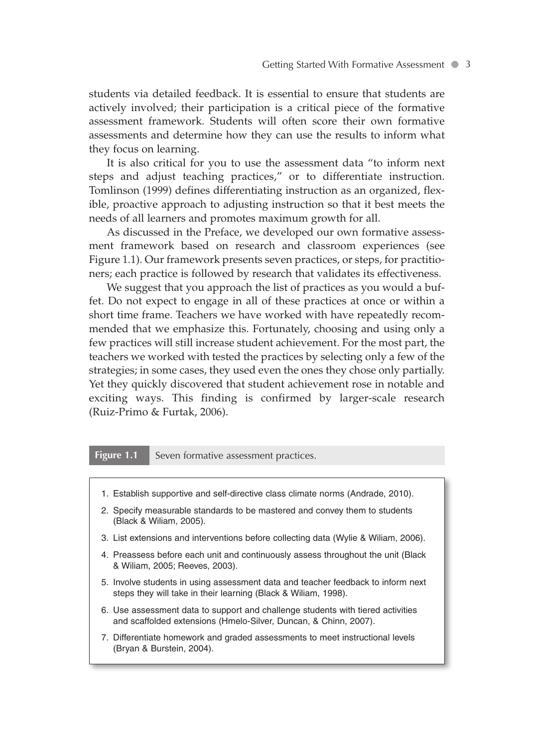students via detailed feedback. It is essential to ensure that students are actively involved; their participation is a critical piece of the formative assessment framework. Students will often score their own formative assessments and determine how they can use the results to inform what they focus on learning.

It is also critical for you to use the assessment data "to inform next steps and adjust teaching practices," or to differentiate instruction. Tomlinson (1999) defines differentiating instruction as an organized, flexible, proactive approach to adjusting instruction so that it best meets the needs of all learners and promotes maximum growth for all.

As discussed in the Preface, we developed our own formative assessment framework based on research and classroom experiences (see Figure 1.1). Our framework presents seven practices, or steps, for practitioners; each practice is followed by research that validates its effectiveness.

We suggest that you approach the list of practices as you would a buffet. Do not expect to engage in all of these practices at once or within a short time frame. Teachers we have worked with have repeatedly recommended that we emphasize this. Fortunately, choosing and using only a few practices will still increase student achievement. For the most part, the teachers we worked with tested the practices by selecting only a few of the strategies; in some cases, they used even the ones they chose only partially. Yet they quickly discovered that student achievement rose in notable and exciting ways. This finding is confirmed by larger-scale research (Ruiz-Primo & Furtak, 2006).

#### **Figure 1.1** Seven formative assessment practices.

- 1. Establish supportive and self-directive class climate norms (Andrade, 2010).
- 2. Specify measurable standards to be mastered and convey them to students (Black & Wiliam, 2005).
- 3. List extensions and interventions before collecting data (Wylie & Wiliam, 2006).
- 4. Preassess before each unit and continuously assess throughout the unit (Black & Wiliam, 2005; Reeves, 2003).
- 5. Involve students in using assessment data and teacher feedback to inform next steps they will take in their learning (Black & Wiliam, 1998).
- 6. Use assessment data to support and challenge students with tiered activities and scaffolded extensions (Hmelo-Silver, Duncan, & Chinn, 2007).
- 7. Differentiate homework and graded assessments to meet instructional levels (Bryan & Burstein, 2004).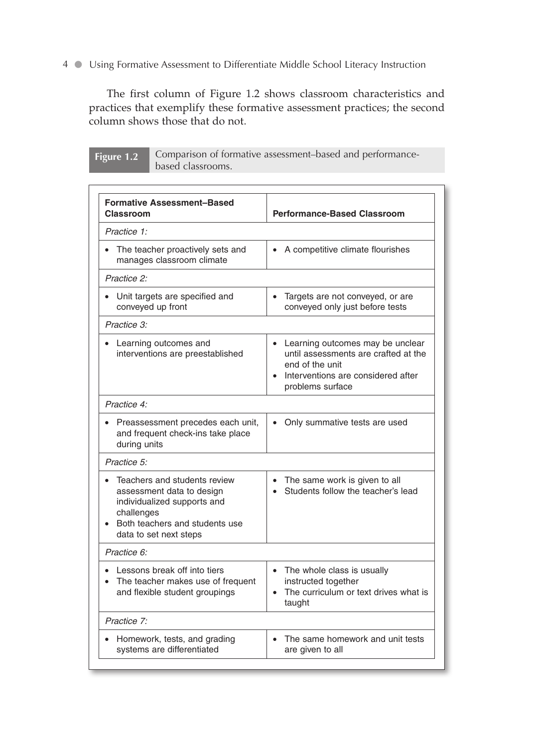The first column of Figure 1.2 shows classroom characteristics and practices that exemplify these formative assessment practices; the second column shows those that do not.

| Figure 1.2 $\vert$ | Comparison of formative assessment-based and performance- |
|--------------------|-----------------------------------------------------------|
|                    | based classrooms.                                         |

| <b>Formative Assessment-Based</b><br>Classroom                                                                                                                       | <b>Performance-Based Classroom</b>                                                                                                                                 |
|----------------------------------------------------------------------------------------------------------------------------------------------------------------------|--------------------------------------------------------------------------------------------------------------------------------------------------------------------|
| Practice 1:                                                                                                                                                          |                                                                                                                                                                    |
| The teacher proactively sets and<br>manages classroom climate                                                                                                        | • A competitive climate flourishes                                                                                                                                 |
| Practice 2:                                                                                                                                                          |                                                                                                                                                                    |
| Unit targets are specified and<br>conveyed up front                                                                                                                  | Targets are not conveyed, or are<br>conveyed only just before tests                                                                                                |
| Practice 3:                                                                                                                                                          |                                                                                                                                                                    |
| Learning outcomes and<br>interventions are preestablished                                                                                                            | Learning outcomes may be unclear<br>$\bullet$<br>until assessments are crafted at the<br>end of the unit<br>Interventions are considered after<br>problems surface |
| Practice 4:                                                                                                                                                          |                                                                                                                                                                    |
| Preassessment precedes each unit,<br>and frequent check-ins take place<br>during units                                                                               | Only summative tests are used<br>$\bullet$                                                                                                                         |
| Practice 5:                                                                                                                                                          |                                                                                                                                                                    |
| Teachers and students review<br>assessment data to design<br>individualized supports and<br>challenges<br>• Both teachers and students use<br>data to set next steps | • The same work is given to all<br>Students follow the teacher's lead                                                                                              |
| Practice 6:                                                                                                                                                          |                                                                                                                                                                    |
| Lessons break off into tiers<br>The teacher makes use of frequent<br>and flexible student groupings                                                                  | • The whole class is usually<br>instructed together<br>The curriculum or text drives what is<br>taught                                                             |
| Practice 7:                                                                                                                                                          |                                                                                                                                                                    |
| Homework, tests, and grading<br>systems are differentiated                                                                                                           | The same homework and unit tests<br>are given to all                                                                                                               |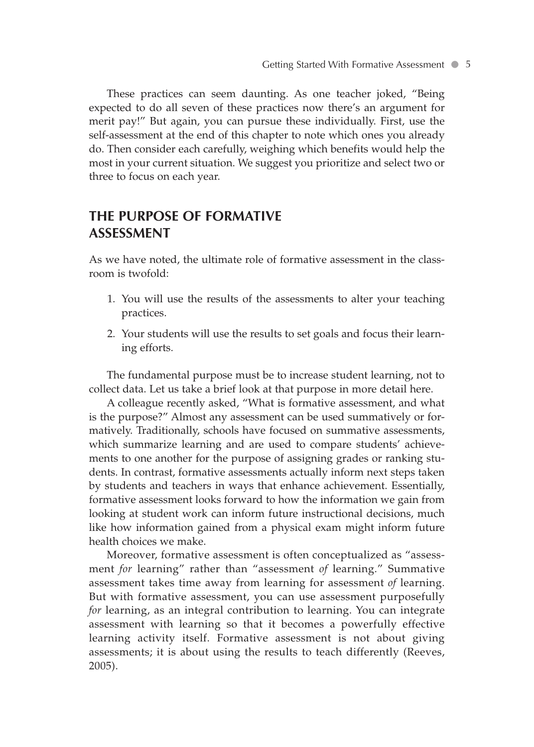These practices can seem daunting. As one teacher joked, "Being expected to do all seven of these practices now there's an argument for merit pay!" But again, you can pursue these individually. First, use the self-assessment at the end of this chapter to note which ones you already do. Then consider each carefully, weighing which benefits would help the most in your current situation. We suggest you prioritize and select two or three to focus on each year.

### **THE PURPOSE OF FORMATIVE ASSESSMENT**

As we have noted, the ultimate role of formative assessment in the classroom is twofold:

- 1. You will use the results of the assessments to alter your teaching practices.
- 2. Your students will use the results to set goals and focus their learning efforts.

The fundamental purpose must be to increase student learning, not to collect data. Let us take a brief look at that purpose in more detail here.

A colleague recently asked, "What is formative assessment, and what is the purpose?" Almost any assessment can be used summatively or formatively. Traditionally, schools have focused on summative assessments, which summarize learning and are used to compare students' achievements to one another for the purpose of assigning grades or ranking students. In contrast, formative assessments actually inform next steps taken by students and teachers in ways that enhance achievement. Essentially, formative assessment looks forward to how the information we gain from looking at student work can inform future instructional decisions, much like how information gained from a physical exam might inform future health choices we make.

Moreover, formative assessment is often conceptualized as "assessment *for* learning" rather than "assessment *of* learning." Summative assessment takes time away from learning for assessment *of* learning. But with formative assessment, you can use assessment purposefully *for* learning, as an integral contribution to learning. You can integrate assessment with learning so that it becomes a powerfully effective learning activity itself. Formative assessment is not about giving assessments; it is about using the results to teach differently (Reeves, 2005).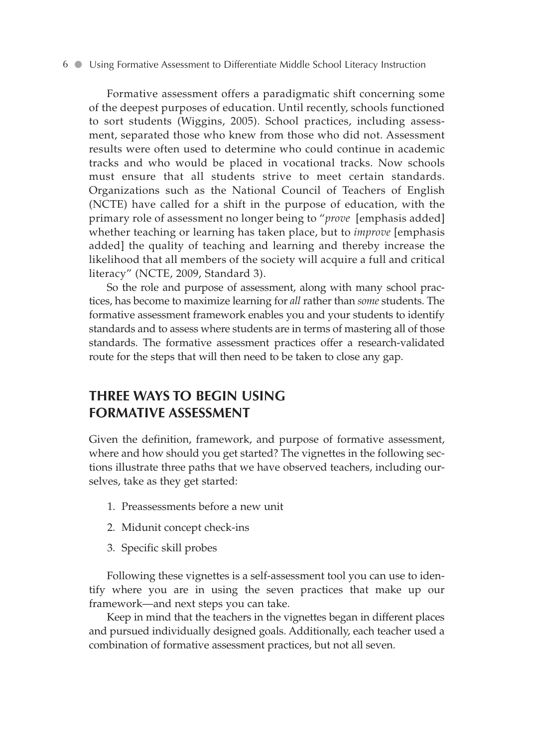Formative assessment offers a paradigmatic shift concerning some of the deepest purposes of education. Until recently, schools functioned to sort students (Wiggins, 2005). School practices, including assessment, separated those who knew from those who did not. Assessment results were often used to determine who could continue in academic tracks and who would be placed in vocational tracks. Now schools must ensure that all students strive to meet certain standards. Organizations such as the National Council of Teachers of English (NCTE) have called for a shift in the purpose of education, with the primary role of assessment no longer being to "*prove* [emphasis added] whether teaching or learning has taken place, but to *improve* [emphasis added] the quality of teaching and learning and thereby increase the likelihood that all members of the society will acquire a full and critical literacy" (NCTE, 2009, Standard 3).

So the role and purpose of assessment, along with many school practices, has become to maximize learning for *all* rather than *some* students. The formative assessment framework enables you and your students to identify standards and to assess where students are in terms of mastering all of those standards. The formative assessment practices offer a research-validated route for the steps that will then need to be taken to close any gap.

### **THREE WAYS TO BEGIN USING FORMATIVE ASSESSMENT**

Given the definition, framework, and purpose of formative assessment, where and how should you get started? The vignettes in the following sections illustrate three paths that we have observed teachers, including ourselves, take as they get started:

- 1. Preassessments before a new unit
- 2. Midunit concept check-ins
- 3. Specific skill probes

Following these vignettes is a self-assessment tool you can use to identify where you are in using the seven practices that make up our framework—and next steps you can take.

Keep in mind that the teachers in the vignettes began in different places and pursued individually designed goals. Additionally, each teacher used a combination of formative assessment practices, but not all seven.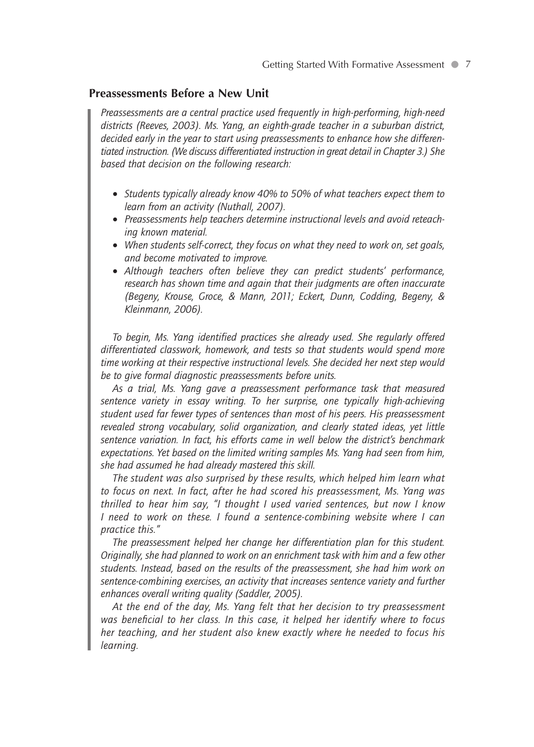#### **Preassessments Before a New Unit**

*Preassessments are a central practice used frequently in high-performing, high-need districts (Reeves, 2003). Ms. Yang, an eighth-grade teacher in a suburban district, decided early in the year to start using preassessments to enhance how she differentiated instruction. (We discuss differentiated instruction in great detail in Chapter 3.) She based that decision on the following research:*

- *Students typically already know 40% to 50% of what teachers expect them to learn from an activity (Nuthall, 2007).*
- *Preassessments help teachers determine instructional levels and avoid reteaching known material.*
- *When students self-correct, they focus on what they need to work on, set goals, and become motivated to improve.*
- *Although teachers often believe they can predict students' performance, research has shown time and again that their judgments are often inaccurate (Begeny, Krouse, Groce, & Mann, 2011; Eckert, Dunn, Codding, Begeny, & Kleinmann, 2006).*

*To begin, Ms. Yang identified practices she already used. She regularly offered differentiated classwork, homework, and tests so that students would spend more time working at their respective instructional levels. She decided her next step would be to give formal diagnostic preassessments before units.*

*As a trial, Ms. Yang gave a preassessment performance task that measured sentence variety in essay writing. To her surprise, one typically high-achieving student used far fewer types of sentences than most of his peers. His preassessment revealed strong vocabulary, solid organization, and clearly stated ideas, yet little sentence variation. In fact, his efforts came in well below the district's benchmark expectations. Yet based on the limited writing samples Ms. Yang had seen from him, she had assumed he had already mastered this skill.*

*The student was also surprised by these results, which helped him learn what to focus on next. In fact, after he had scored his preassessment, Ms. Yang was thrilled to hear him say, "I thought I used varied sentences, but now I know I need to work on these. I found a sentence-combining website where I can practice this."*

*The preassessment helped her change her differentiation plan for this student. Originally, she had planned to work on an enrichment task with him and a few other students. Instead, based on the results of the preassessment, she had him work on sentence-combining exercises, an activity that increases sentence variety and further enhances overall writing quality (Saddler, 2005).*

*At the end of the day, Ms. Yang felt that her decision to try preassessment was beneficial to her class. In this case, it helped her identify where to focus her teaching, and her student also knew exactly where he needed to focus his learning.*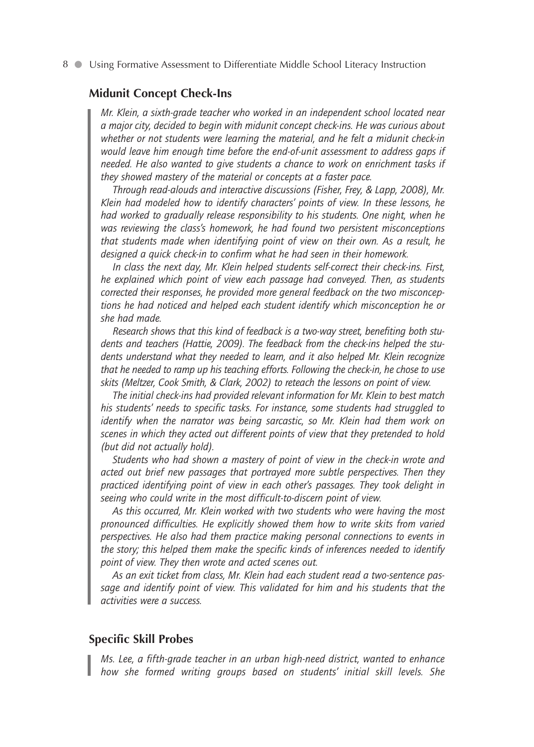#### **Midunit Concept Check-Ins**

*Mr. Klein, a sixth-grade teacher who worked in an independent school located near a major city, decided to begin with midunit concept check-ins. He was curious about whether or not students were learning the material, and he felt a midunit check-in would leave him enough time before the end-of-unit assessment to address gaps if needed. He also wanted to give students a chance to work on enrichment tasks if they showed mastery of the material or concepts at a faster pace.*

*Through read-alouds and interactive discussions (Fisher, Frey, & Lapp, 2008), Mr. Klein had modeled how to identify characters' points of view. In these lessons, he had worked to gradually release responsibility to his students. One night, when he was reviewing the class's homework, he had found two persistent misconceptions that students made when identifying point of view on their own. As a result, he designed a quick check-in to confirm what he had seen in their homework.*

*In class the next day, Mr. Klein helped students self-correct their check-ins. First, he explained which point of view each passage had conveyed. Then, as students corrected their responses, he provided more general feedback on the two misconceptions he had noticed and helped each student identify which misconception he or she had made.*

*Research shows that this kind of feedback is a two-way street, benefiting both students and teachers (Hattie, 2009). The feedback from the check-ins helped the students understand what they needed to learn, and it also helped Mr. Klein recognize that he needed to ramp up his teaching efforts. Following the check-in, he chose to use skits (Meltzer, Cook Smith, & Clark, 2002) to reteach the lessons on point of view.*

*The initial check-ins had provided relevant information for Mr. Klein to best match his students' needs to specific tasks. For instance, some students had struggled to identify when the narrator was being sarcastic, so Mr. Klein had them work on scenes in which they acted out different points of view that they pretended to hold (but did not actually hold).*

*Students who had shown a mastery of point of view in the check-in wrote and acted out brief new passages that portrayed more subtle perspectives. Then they practiced identifying point of view in each other's passages. They took delight in seeing who could write in the most difficult-to-discern point of view.*

*As this occurred, Mr. Klein worked with two students who were having the most pronounced difficulties. He explicitly showed them how to write skits from varied perspectives. He also had them practice making personal connections to events in the story; this helped them make the specific kinds of inferences needed to identify point of view. They then wrote and acted scenes out.*

*As an exit ticket from class, Mr. Klein had each student read a two-sentence passage and identify point of view. This validated for him and his students that the activities were a success.*

#### **Specific Skill Probes**

*Ms. Lee, a fifth-grade teacher in an urban high-need district, wanted to enhance how she formed writing groups based on students' initial skill levels. She*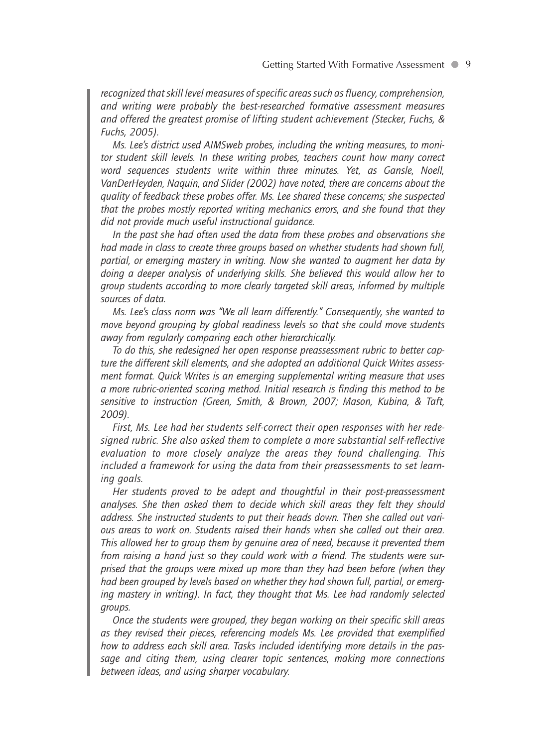*recognized that skill level measures of specific areas such as fluency, comprehension, and writing were probably the best-researched formative assessment measures and offered the greatest promise of lifting student achievement (Stecker, Fuchs, & Fuchs, 2005).*

*Ms. Lee's district used AIMSweb probes, including the writing measures, to monitor student skill levels. In these writing probes, teachers count how many correct word sequences students write within three minutes. Yet, as Gansle, Noell, VanDerHeyden, Naquin, and Slider (2002) have noted, there are concerns about the quality of feedback these probes offer. Ms. Lee shared these concerns; she suspected that the probes mostly reported writing mechanics errors, and she found that they did not provide much useful instructional guidance.*

*In the past she had often used the data from these probes and observations she had made in class to create three groups based on whether students had shown full, partial, or emerging mastery in writing. Now she wanted to augment her data by doing a deeper analysis of underlying skills. She believed this would allow her to group students according to more clearly targeted skill areas, informed by multiple sources of data.*

*Ms. Lee's class norm was "We all learn differently." Consequently, she wanted to move beyond grouping by global readiness levels so that she could move students away from regularly comparing each other hierarchically.*

*To do this, she redesigned her open response preassessment rubric to better capture the different skill elements, and she adopted an additional Quick Writes assessment format. Quick Writes is an emerging supplemental writing measure that uses a more rubric-oriented scoring method. Initial research is finding this method to be sensitive to instruction (Green, Smith, & Brown, 2007; Mason, Kubina, & Taft, 2009).*

*First, Ms. Lee had her students self-correct their open responses with her redesigned rubric. She also asked them to complete a more substantial self-reflective evaluation to more closely analyze the areas they found challenging. This included a framework for using the data from their preassessments to set learning goals.*

*Her students proved to be adept and thoughtful in their post-preassessment analyses. She then asked them to decide which skill areas they felt they should address. She instructed students to put their heads down. Then she called out various areas to work on. Students raised their hands when she called out their area. This allowed her to group them by genuine area of need, because it prevented them from raising a hand just so they could work with a friend. The students were surprised that the groups were mixed up more than they had been before (when they had been grouped by levels based on whether they had shown full, partial, or emerging mastery in writing). In fact, they thought that Ms. Lee had randomly selected groups.*

*Once the students were grouped, they began working on their specific skill areas as they revised their pieces, referencing models Ms. Lee provided that exemplified how to address each skill area. Tasks included identifying more details in the passage and citing them, using clearer topic sentences, making more connections between ideas, and using sharper vocabulary.*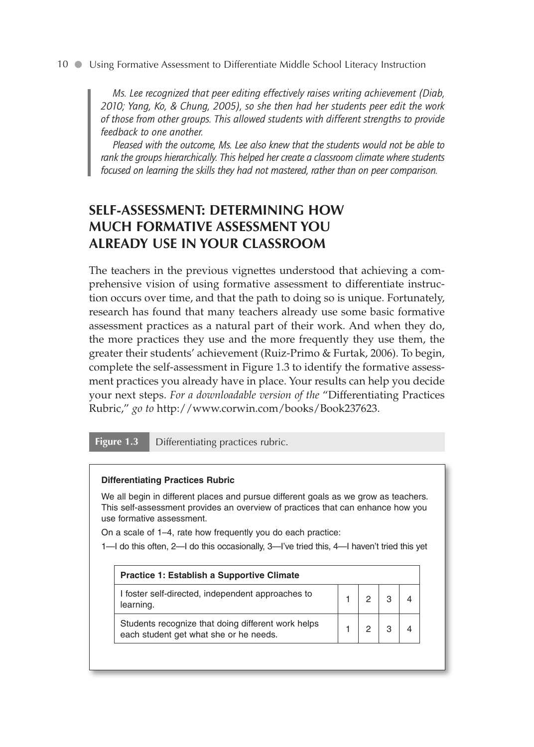*Ms. Lee recognized that peer editing effectively raises writing achievement (Diab, 2010; Yang, Ko, & Chung, 2005), so she then had her students peer edit the work of those from other groups. This allowed students with different strengths to provide feedback to one another.*

*Pleased with the outcome, Ms. Lee also knew that the students would not be able to rank the groups hierarchically. This helped her create a classroom climate where students focused on learning the skills they had not mastered, rather than on peer comparison.* 

### **SELF-ASSESSMENT: DETERMINING HOW MUCH FORMATIVE ASSESSMENT YOU ALREADY USE IN YOUR CLASSROOM**

The teachers in the previous vignettes understood that achieving a comprehensive vision of using formative assessment to differentiate instruction occurs over time, and that the path to doing so is unique. Fortunately, research has found that many teachers already use some basic formative assessment practices as a natural part of their work. And when they do, the more practices they use and the more frequently they use them, the greater their students' achievement (Ruiz-Primo & Furtak, 2006). To begin, complete the self-assessment in Figure 1.3 to identify the formative assessment practices you already have in place. Your results can help you decide your next steps. *For a downloadable version of the* "Differentiating Practices Rubric," *go to* http://www.corwin.com/books/Book237623.

**Figure 1.3** Differentiating practices rubric.

#### **Differentiating Practices Rubric**

We all begin in different places and pursue different goals as we grow as teachers. This self-assessment provides an overview of practices that can enhance how you use formative assessment.

On a scale of 1–4, rate how frequently you do each practice:

|  |  | 1-I do this often, 2-I do this occasionally, 3-I've tried this, 4-I haven't tried this yet |
|--|--|--------------------------------------------------------------------------------------------|
|  |  |                                                                                            |

| <b>Practice 1: Establish a Supportive Climate</b>                                            |  |  |
|----------------------------------------------------------------------------------------------|--|--|
| I foster self-directed, independent approaches to<br>learning.                               |  |  |
| Students recognize that doing different work helps<br>each student get what she or he needs. |  |  |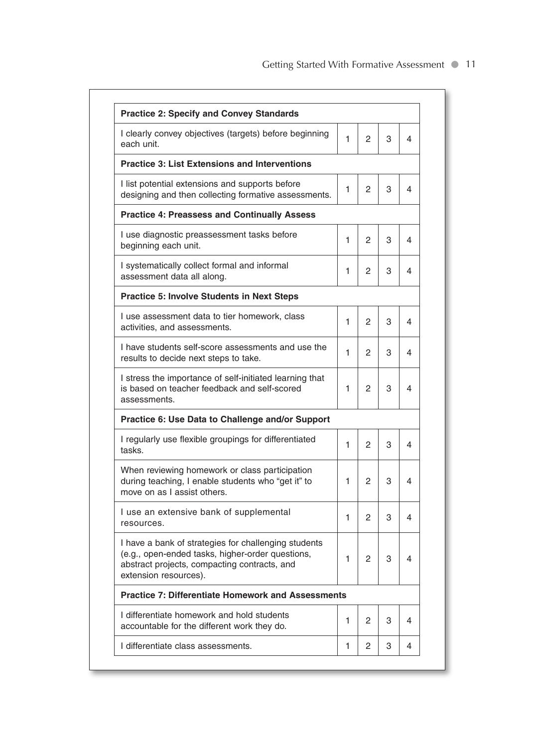| I clearly convey objectives (targets) before beginning<br>each unit.                                                                                                              | 1 | 2             | 3 | 4 |
|-----------------------------------------------------------------------------------------------------------------------------------------------------------------------------------|---|---------------|---|---|
| <b>Practice 3: List Extensions and Interventions</b>                                                                                                                              |   |               |   |   |
| I list potential extensions and supports before<br>designing and then collecting formative assessments.                                                                           | 1 | $\mathcal{P}$ | 3 | 4 |
| <b>Practice 4: Preassess and Continually Assess</b>                                                                                                                               |   |               |   |   |
| I use diagnostic preassessment tasks before<br>beginning each unit.                                                                                                               | 1 | 2             | 3 | 4 |
| I systematically collect formal and informal<br>assessment data all along.                                                                                                        | 1 | 2             | 3 | 4 |
| <b>Practice 5: Involve Students in Next Steps</b>                                                                                                                                 |   |               |   |   |
| I use assessment data to tier homework, class<br>activities, and assessments.                                                                                                     | 1 | 2             | 3 | 4 |
| I have students self-score assessments and use the<br>results to decide next steps to take.                                                                                       | 1 | 2             | 3 | 4 |
| I stress the importance of self-initiated learning that<br>is based on teacher feedback and self-scored<br>assessments.                                                           | 1 | 2             | 3 | 4 |
| Practice 6: Use Data to Challenge and/or Support                                                                                                                                  |   |               |   |   |
| I regularly use flexible groupings for differentiated<br>tasks.                                                                                                                   | 1 | $\mathcal{P}$ | 3 | 4 |
| When reviewing homework or class participation<br>during teaching, I enable students who "get it" to<br>move on as I assist others.                                               | 1 | 2             | 3 | 4 |
| I use an extensive bank of supplemental<br>resources.                                                                                                                             | 1 | 2             | 3 | 4 |
| I have a bank of strategies for challenging students<br>(e.g., open-ended tasks, higher-order questions,<br>abstract projects, compacting contracts, and<br>extension resources). | 1 | 2             | 3 | 4 |
| <b>Practice 7: Differentiate Homework and Assessments</b>                                                                                                                         |   |               |   |   |
| I differentiate homework and hold students<br>accountable for the different work they do.                                                                                         | 1 | 2             | 3 | 4 |
| I differentiate class assessments.                                                                                                                                                | 1 | 2             | 3 | 4 |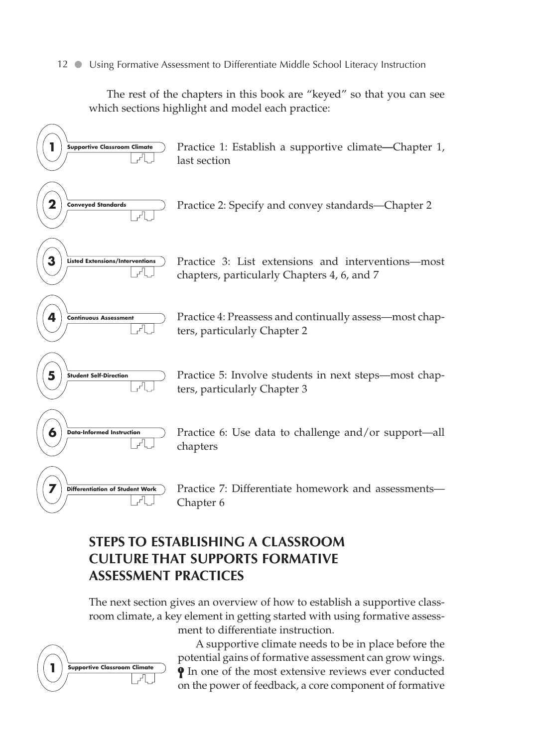The rest of the chapters in this book are "keyed" so that you can see which sections highlight and model each practice:



### **STEPS TO ESTABLISHING A CLASSROOM CULTURE THAT SUPPORTS FORMATIVE ASSESSMENT PRACTICES**

The next section gives an overview of how to establish a supportive classroom climate, a key element in getting started with using formative assessment to differentiate instruction.



A supportive climate needs to be in place before the potential gains of formative assessment can grow wings. **9** In one of the most extensive reviews ever conducted

on the power of feedback, a core component of formative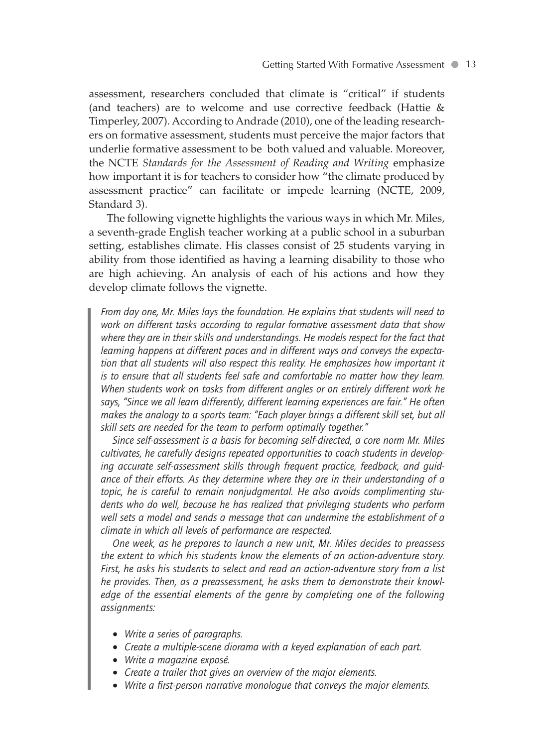assessment, researchers concluded that climate is "critical" if students (and teachers) are to welcome and use corrective feedback (Hattie & Timperley, 2007). According to Andrade (2010), one of the leading researchers on formative assessment, students must perceive the major factors that underlie formative assessment to be both valued and valuable. Moreover, the NCTE *Standards for the Assessment of Reading and Writing* emphasize how important it is for teachers to consider how "the climate produced by assessment practice" can facilitate or impede learning (NCTE, 2009, Standard 3).

The following vignette highlights the various ways in which Mr. Miles, a seventh-grade English teacher working at a public school in a suburban setting, establishes climate. His classes consist of 25 students varying in ability from those identified as having a learning disability to those who are high achieving. An analysis of each of his actions and how they develop climate follows the vignette.

*From day one, Mr. Miles lays the foundation. He explains that students will need to work on different tasks according to regular formative assessment data that show where they are in their skills and understandings. He models respect for the fact that learning happens at different paces and in different ways and conveys the expecta*tion that all students will also respect this reality. He emphasizes how important it *is to ensure that all students feel safe and comfortable no matter how they learn. When students work on tasks from different angles or on entirely different work he says, "Since we all learn differently, different learning experiences are fair." He often makes the analogy to a sports team: "Each player brings a different skill set, but all skill sets are needed for the team to perform optimally together."*

*Since self-assessment is a basis for becoming self-directed, a core norm Mr. Miles cultivates, he carefully designs repeated opportunities to coach students in developing accurate self-assessment skills through frequent practice, feedback, and guidance of their efforts. As they determine where they are in their understanding of a topic, he is careful to remain nonjudgmental. He also avoids complimenting students who do well, because he has realized that privileging students who perform well sets a model and sends a message that can undermine the establishment of a climate in which all levels of performance are respected.*

*One week, as he prepares to launch a new unit, Mr. Miles decides to preassess the extent to which his students know the elements of an action-adventure story. First, he asks his students to select and read an action-adventure story from a list he provides. Then, as a preassessment, he asks them to demonstrate their knowledge of the essential elements of the genre by completing one of the following assignments:*

- *Write a series of paragraphs.*
- *Create a multiple-scene diorama with a keyed explanation of each part.*
- *Write a magazine exposé.*
- *Create a trailer that gives an overview of the major elements.*
- *Write a first-person narrative monologue that conveys the major elements.*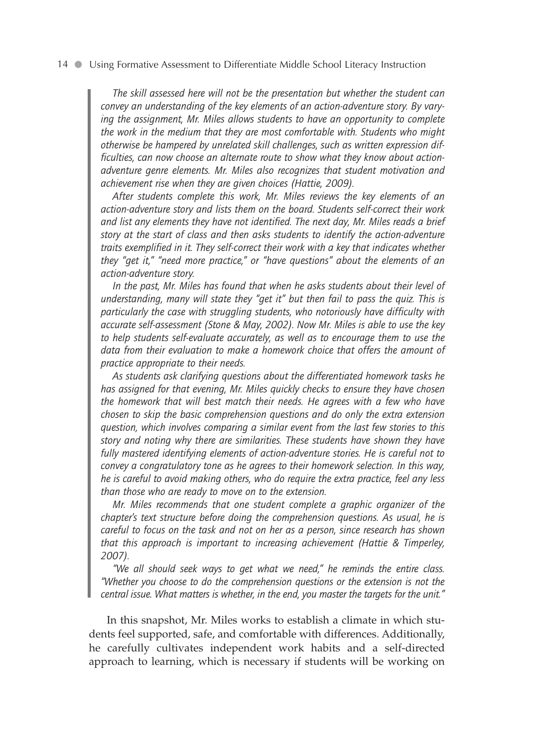*The skill assessed here will not be the presentation but whether the student can convey an understanding of the key elements of an action-adventure story. By varying the assignment, Mr. Miles allows students to have an opportunity to complete the work in the medium that they are most comfortable with. Students who might otherwise be hampered by unrelated skill challenges, such as written expression difficulties, can now choose an alternate route to show what they know about actionadventure genre elements. Mr. Miles also recognizes that student motivation and achievement rise when they are given choices (Hattie, 2009).*

*After students complete this work, Mr. Miles reviews the key elements of an action-adventure story and lists them on the board. Students self-correct their work and list any elements they have not identified. The next day, Mr. Miles reads a brief story at the start of class and then asks students to identify the action-adventure traits exemplified in it. They self-correct their work with a key that indicates whether they "get it," "need more practice," or "have questions" about the elements of an action-adventure story.*

*In the past, Mr. Miles has found that when he asks students about their level of understanding, many will state they "get it" but then fail to pass the quiz. This is particularly the case with struggling students, who notoriously have difficulty with accurate self-assessment (Stone & May, 2002). Now Mr. Miles is able to use the key to help students self-evaluate accurately, as well as to encourage them to use the data from their evaluation to make a homework choice that offers the amount of practice appropriate to their needs.*

*As students ask clarifying questions about the differentiated homework tasks he has assigned for that evening, Mr. Miles quickly checks to ensure they have chosen the homework that will best match their needs. He agrees with a few who have chosen to skip the basic comprehension questions and do only the extra extension question, which involves comparing a similar event from the last few stories to this story and noting why there are similarities. These students have shown they have fully mastered identifying elements of action-adventure stories. He is careful not to convey a congratulatory tone as he agrees to their homework selection. In this way, he is careful to avoid making others, who do require the extra practice, feel any less than those who are ready to move on to the extension.*

*Mr. Miles recommends that one student complete a graphic organizer of the chapter's text structure before doing the comprehension questions. As usual, he is careful to focus on the task and not on her as a person, since research has shown that this approach is important to increasing achievement (Hattie & Timperley, 2007).*

*"We all should seek ways to get what we need," he reminds the entire class. "Whether you choose to do the comprehension questions or the extension is not the central issue. What matters is whether, in the end, you master the targets for the unit."*

In this snapshot, Mr. Miles works to establish a climate in which students feel supported, safe, and comfortable with differences. Additionally, he carefully cultivates independent work habits and a self-directed approach to learning, which is necessary if students will be working on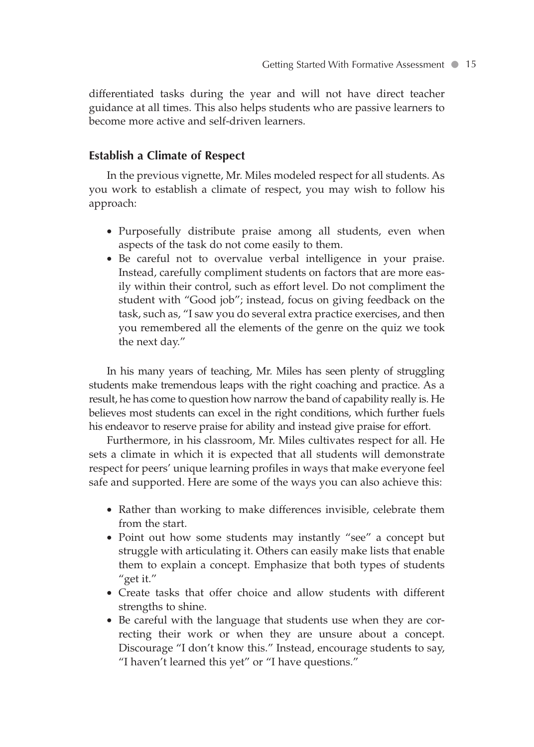differentiated tasks during the year and will not have direct teacher guidance at all times. This also helps students who are passive learners to become more active and self-driven learners.

#### **Establish a Climate of Respect**

In the previous vignette, Mr. Miles modeled respect for all students. As you work to establish a climate of respect, you may wish to follow his approach:

- Purposefully distribute praise among all students, even when aspects of the task do not come easily to them.
- Be careful not to overvalue verbal intelligence in your praise. Instead, carefully compliment students on factors that are more easily within their control, such as effort level. Do not compliment the student with "Good job"; instead, focus on giving feedback on the task, such as, "I saw you do several extra practice exercises, and then you remembered all the elements of the genre on the quiz we took the next day."

In his many years of teaching, Mr. Miles has seen plenty of struggling students make tremendous leaps with the right coaching and practice. As a result, he has come to question how narrow the band of capability really is. He believes most students can excel in the right conditions, which further fuels his endeavor to reserve praise for ability and instead give praise for effort.

Furthermore, in his classroom, Mr. Miles cultivates respect for all. He sets a climate in which it is expected that all students will demonstrate respect for peers' unique learning profiles in ways that make everyone feel safe and supported. Here are some of the ways you can also achieve this:

- Rather than working to make differences invisible, celebrate them from the start.
- Point out how some students may instantly "see" a concept but struggle with articulating it. Others can easily make lists that enable them to explain a concept. Emphasize that both types of students "get it."
- Create tasks that offer choice and allow students with different strengths to shine.
- Be careful with the language that students use when they are correcting their work or when they are unsure about a concept. Discourage "I don't know this." Instead, encourage students to say, "I haven't learned this yet" or "I have questions."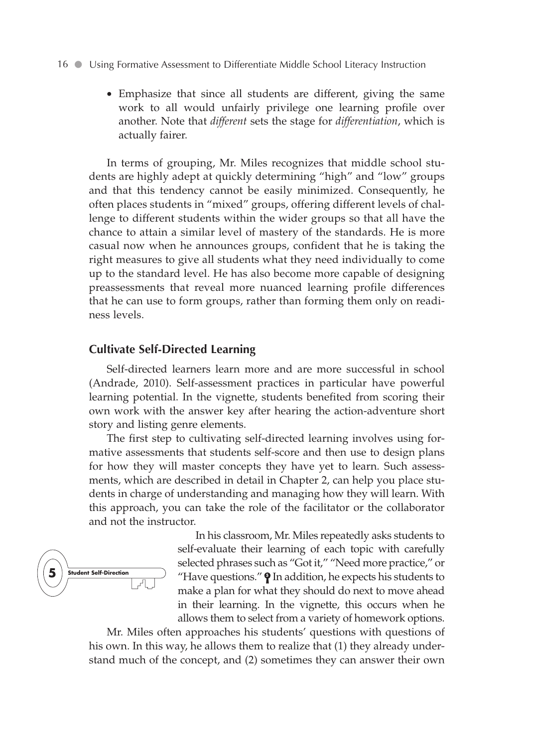• Emphasize that since all students are different, giving the same work to all would unfairly privilege one learning profile over another. Note that *different* sets the stage for *differentiation*, which is actually fairer.

In terms of grouping, Mr. Miles recognizes that middle school students are highly adept at quickly determining "high" and "low" groups and that this tendency cannot be easily minimized. Consequently, he often places students in "mixed" groups, offering different levels of challenge to different students within the wider groups so that all have the chance to attain a similar level of mastery of the standards. He is more casual now when he announces groups, confident that he is taking the right measures to give all students what they need individually to come up to the standard level. He has also become more capable of designing preassessments that reveal more nuanced learning profile differences that he can use to form groups, rather than forming them only on readiness levels.

#### **Cultivate Self-Directed Learning**

Self-directed learners learn more and are more successful in school (Andrade, 2010). Self-assessment practices in particular have powerful learning potential. In the vignette, students benefited from scoring their own work with the answer key after hearing the action-adventure short story and listing genre elements.

The first step to cultivating self-directed learning involves using formative assessments that students self-score and then use to design plans for how they will master concepts they have yet to learn. Such assessments, which are described in detail in Chapter 2, can help you place students in charge of understanding and managing how they will learn. With this approach, you can take the role of the facilitator or the collaborator and not the instructor.



In his classroom, Mr. Miles repeatedly asks students to self-evaluate their learning of each topic with carefully selected phrases such as "Got it," "Need more practice," or "Have questions."  $\mathbf{\Theta}$  In addition, he expects his students to make a plan for what they should do next to move ahead in their learning. In the vignette, this occurs when he allows them to select from a variety of homework options.

Mr. Miles often approaches his students' questions with questions of his own. In this way, he allows them to realize that (1) they already understand much of the concept, and (2) sometimes they can answer their own